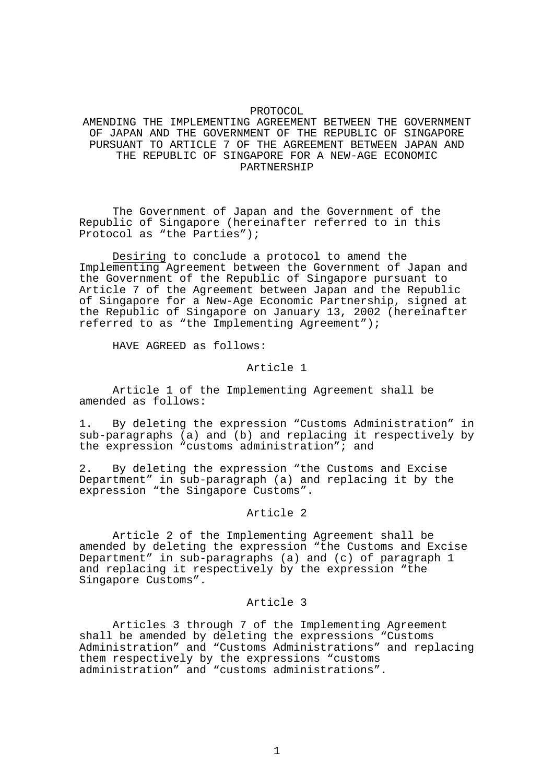# PROTOCOL AMENDING THE IMPLEMENTING AGREEMENT BETWEEN THE GOVERNMENT OF JAPAN AND THE GOVERNMENT OF THE REPUBLIC OF SINGAPORE PURSUANT TO ARTICLE 7 OF THE AGREEMENT BETWEEN JAPAN AND THE REPUBLIC OF SINGAPORE FOR A NEW-AGE ECONOMIC PARTNERSHIP

 The Government of Japan and the Government of the Republic of Singapore (hereinafter referred to in this Protocol as "the Parties");

Desiring to conclude a protocol to amend the Implementing Agreement between the Government of Japan and the Government of the Republic of Singapore pursuant to Article 7 of the Agreement between Japan and the Republic of Singapore for a New-Age Economic Partnership, signed at the Republic of Singapore on January 13, 2002 (hereinafter referred to as "the Implementing Agreement");

HAVE AGREED as follows:

#### Article 1

 Article 1 of the Implementing Agreement shall be amended as follows:

1. By deleting the expression "Customs Administration" in sub-paragraphs (a) and (b) and replacing it respectively by the expression "customs administration"; and

2. By deleting the expression "the Customs and Excise Department" in sub-paragraph (a) and replacing it by the expression "the Singapore Customs".

#### Article 2

 Article 2 of the Implementing Agreement shall be amended by deleting the expression "the Customs and Excise Department" in sub-paragraphs (a) and (c) of paragraph 1 and replacing it respectively by the expression "the Singapore Customs".

# Article 3

 Articles 3 through 7 of the Implementing Agreement shall be amended by deleting the expressions "Customs Administration" and "Customs Administrations" and replacing them respectively by the expressions "customs administration" and "customs administrations".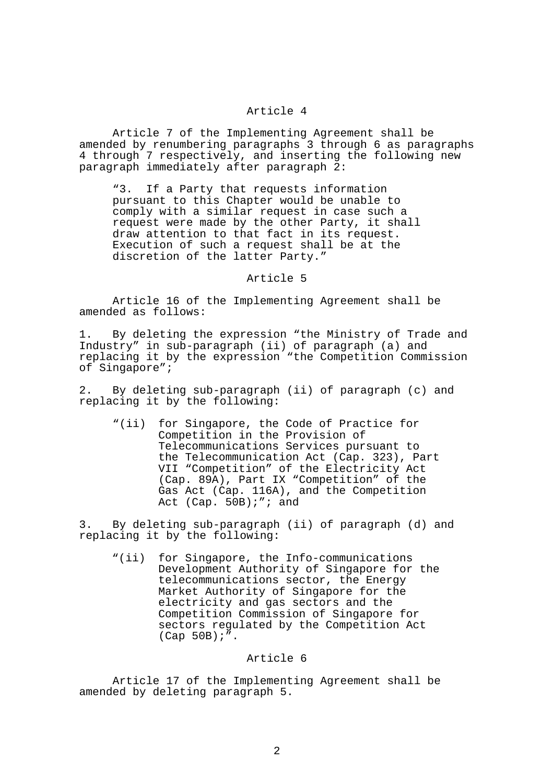# Article 4

 Article 7 of the Implementing Agreement shall be amended by renumbering paragraphs 3 through 6 as paragraphs 4 through 7 respectively, and inserting the following new paragraph immediately after paragraph 2:

"3. If a Party that requests information pursuant to this Chapter would be unable to comply with a similar request in case such a request were made by the other Party, it shall draw attention to that fact in its request. Execution of such a request shall be at the discretion of the latter Party."

#### Article 5

 Article 16 of the Implementing Agreement shall be amended as follows:

1. By deleting the expression "the Ministry of Trade and Industry" in sub-paragraph (ii) of paragraph (a) and replacing it by the expression "the Competition Commission of Singapore";

2. By deleting sub-paragraph (ii) of paragraph (c) and replacing it by the following:

"(ii) for Singapore, the Code of Practice for Competition in the Provision of Telecommunications Services pursuant to the Telecommunication Act (Cap. 323), Part VII "Competition" of the Electricity Act (Cap. 89A), Part IX "Competition" of the Gas Act (Cap. 116A), and the Competition Act (Cap. 50B);"; and

3. By deleting sub-paragraph (ii) of paragraph (d) and replacing it by the following:

"(ii) for Singapore, the Info-communications Development Authority of Singapore for the telecommunications sector, the Energy Market Authority of Singapore for the electricity and gas sectors and the Competition Commission of Singapore for sectors regulated by the Competition Act (Cap 50B);".

# Article 6

 Article 17 of the Implementing Agreement shall be amended by deleting paragraph 5.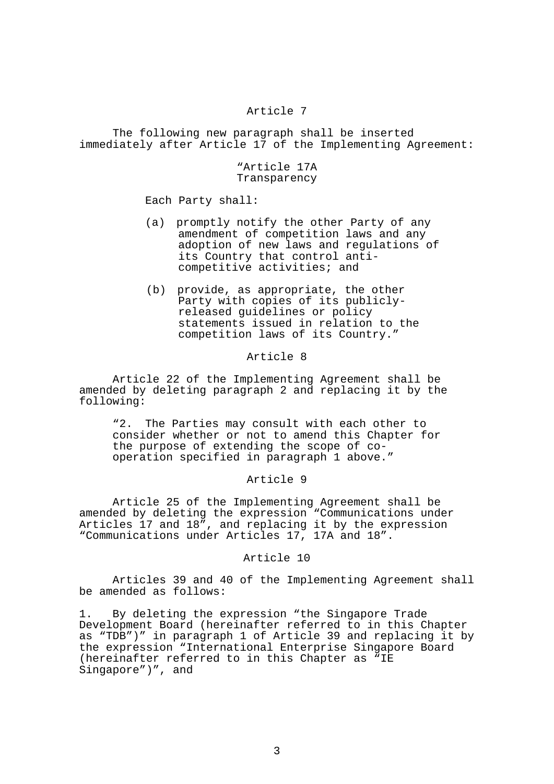# Article 7

 The following new paragraph shall be inserted immediately after Article 17 of the Implementing Agreement:

#### "Article 17A Transparency

Each Party shall:

- (a) promptly notify the other Party of any amendment of competition laws and any adoption of new laws and regulations of its Country that control anticompetitive activities; and
- (b) provide, as appropriate, the other Party with copies of its publiclyreleased guidelines or policy statements issued in relation to the competition laws of its Country."

#### Article 8

 Article 22 of the Implementing Agreement shall be amended by deleting paragraph 2 and replacing it by the following:

 "2. The Parties may consult with each other to consider whether or not to amend this Chapter for the purpose of extending the scope of cooperation specified in paragraph 1 above."

# Article 9

 Article 25 of the Implementing Agreement shall be amended by deleting the expression "Communications under Articles 17 and 18", and replacing it by the expression "Communications under Articles 17, 17A and 18".

# Article 10

 Articles 39 and 40 of the Implementing Agreement shall be amended as follows:

1. By deleting the expression "the Singapore Trade Development Board (hereinafter referred to in this Chapter as "TDB")" in paragraph 1 of Article 39 and replacing it by the expression "International Enterprise Singapore Board (hereinafter referred to in this Chapter as "IE Singapore")", and